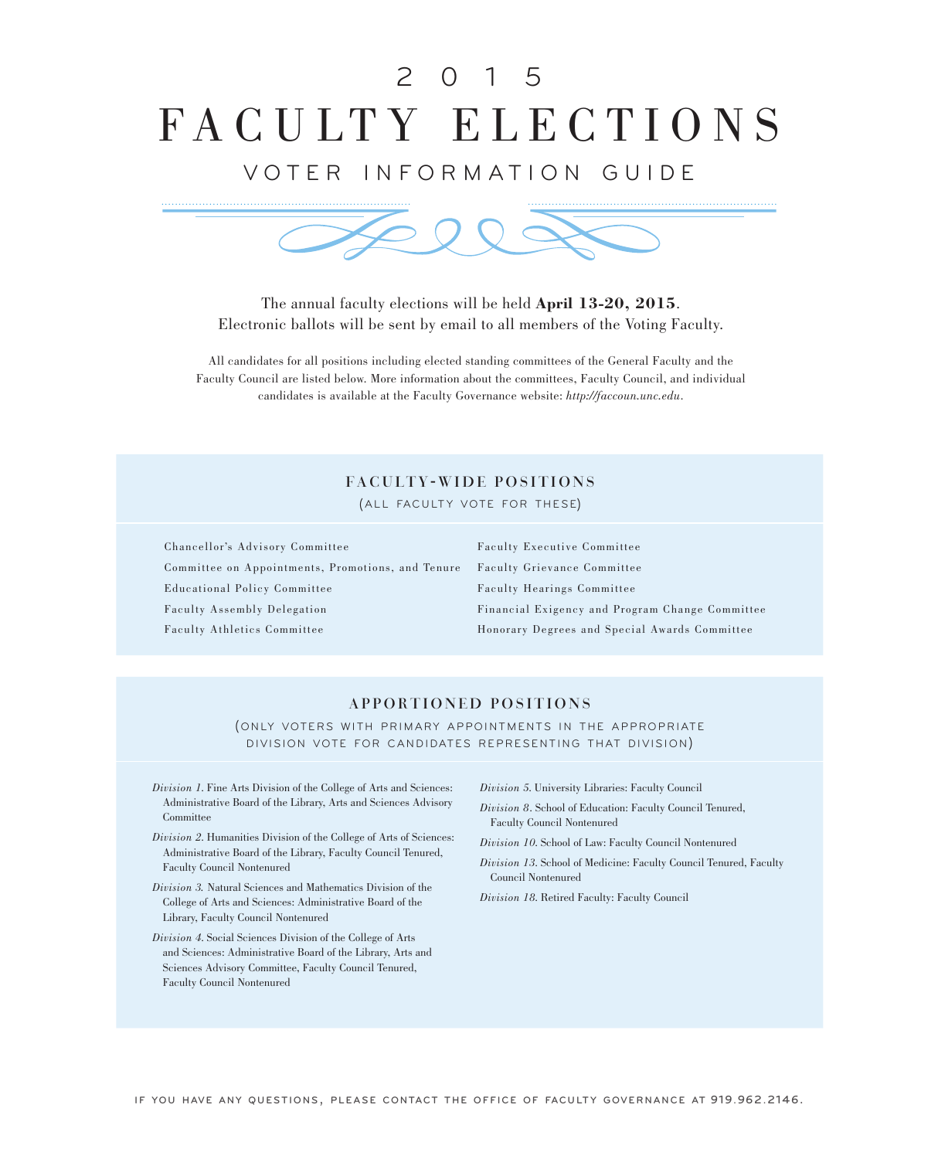# FACULTY ELECTIONS 2 0 1 5

# VOTER INFORMATION GUIDE



The annual faculty elections will be held **April 13-20, 2015**. Electronic ballots will be sent by email to all members of the Voting Faculty.

All candidates for all positions including elected standing committees of the General Faculty and the Faculty Council are listed below. More information about the committees, Faculty Council, and individual candidates is available at the Faculty Governance website: *http://faccoun.unc.edu*.

# FACULTY-WIDE POSITIONS

(ALL FACULTY VOTE FOR THESE)

Chancellor's Advisory Committee

Committee on Appointments, Promotions, and Tenure Educational Policy Committee Faculty Assembly Delegation Faculty Athletics Committee

Faculty Executive Committee Faculty Grievance Committee Faculty Hearings Committee Financial Exigency and Program Change Committee Honorary Degrees and Special Awards Committee

### APPORTIONED POSITIONS

(ONLY VOTERS WITH PRIMARY APPOINTMENTS IN THE APPROPRIATE DIVISION VOTE FOR CANDIDATES REPRESENTING THAT DIVISION)

- *Division 1*. Fine Arts Division of the College of Arts and Sciences: Administrative Board of the Library, Arts and Sciences Advisory Committee
- *Division 2*. Humanities Division of the College of Arts of Sciences: Administrative Board of the Library, Faculty Council Tenured, Faculty Council Nontenured
- *Division 3.* Natural Sciences and Mathematics Division of the College of Arts and Sciences: Administrative Board of the Library, Faculty Council Nontenured
- *Division 4*. Social Sciences Division of the College of Arts and Sciences: Administrative Board of the Library, Arts and Sciences Advisory Committee, Faculty Council Tenured, Faculty Council Nontenured

*Division 5*. University Libraries: Faculty Council

- *Division 8*. School of Education: Faculty Council Tenured, Faculty Council Nontenured
- *Division 10*. School of Law: Faculty Council Nontenured
- *Division 13*. School of Medicine: Faculty Council Tenured, Faculty Council Nontenured

*Division 18*. Retired Faculty: Faculty Council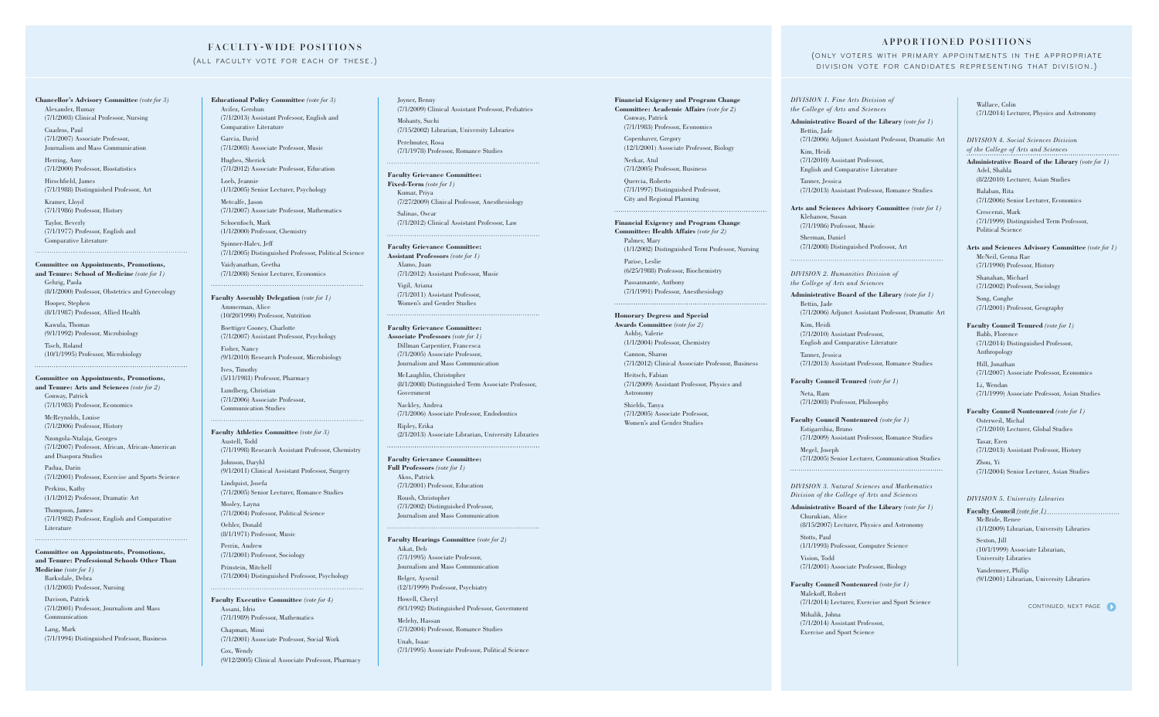**Chancellor's Advisory Committee** *(vote for 3)* Alexander, Rumay (7/1/2003) Clinical Professor, Nursing

Cuadros, Paul (7/1/2007) Associate Professor, Journalism and Mass Communication

Herring, Amy (7/1/2000) Professor, Biostatistics

Hirschfield, James (7/1/1988) Distinguished Professor, Art

Kramer, Lloyd (7/1/1986) Professor, History

Taylor, Beverly (7/1/1977) Professor, English and Comparative Literature

#### **Committee on Appointments, Promotions,**

**and Tenure: School of Medicine** *(vote for 1)* Gehrig, Paola (8/1/2000) Professor, Obstetrics and Gynecology

Hooper, Stephen (8/1/1987) Professor, Allied Health

Kawula, Thomas (9/1/1992) Professor, Microbiology

Tisch, Roland (10/1/1995) Professor, Microbiology

#### **Committee on Appointments, Promotions,**

**and Tenure: Arts and Sciences** *(vote for 2)* Conway, Patrick (7/1/1983) Professor, Economics

McReynolds, Louise (7/1/2006) Professor, History

Nzongola-Ntalaja, Georges (7/1/2007) Professor, African, African-American and Diaspora Studies

Padua, Darin (7/1/2001) Professor, Exercise and Sports Science

Perkins, Kathy (1/1/2012) Professor, Dramatic Art

Thompson, James (7/1/1982) Professor, English and Comparative Literature

#### **Committee on Appointments, Promotions, and Tenure: Professional Schools Other Than**

**Medicine** *(vote for 1)* Barksdale, Debra (1/1/2003) Professor, Nursing Davison, Patrick

(7/1/2001) Professor, Journalism and Mass Communication

Lang, Mark (7/1/1994) Distinguished Professor, Business

### FACULTY-WIDE POSITIONS

### (ALL FACULTY VOTE FOR EACH OF THESE.)

**Financial Exigency and Program Change Committee: Academic Affairs** *(vote for 2)* Conway, Patrick (7/1/1983) Professor, Economics

Copenhaver, Gregory (12/1/2001) Associate Professor, Biology

(9/1/2011) Clinical Assistant Professor, Surgery Lindquist, Josefa

Nerkar, Atul

(7/1/2005) Professor, Business

Quercia, Roberto (7/1/1997) Distinguished Professor, City and Regional Planning

**Financial Exigency and Program Change Committee: Health Affairs** *(vote for 2)* Palmer, Mary (1/1/2002) Distinguished Term Professor, Nursing

Parise, Leslie (6/25/1988) Professor, Biochemistry

Passannante, Anthony (7/1/1991) Professor, Anesthesiology

**Honorary Degress and Special Awards Committee** *(vote for 2)* Ashby, Valerie (1/1/2004) Professor, Chemistry

Cannon, Sharon (7/1/2012) Clinical Associate Professor, Business

Heitsch, Fabian (7/1/2009) Assistant Professor, Physics and

Astronomy

Shields, Tanya (7/1/2005) Associate Professor, Women's and Gender Studies

#### **Educational Policy Committee** *(vote for 3)* Avilez, Gershun (7/1/2013) Assistant Professor, English and

Comparative Literature Garcia, David

(7/1/2003) Associate Professor, Music Hughes, Sherick

(7/1/2012) Associate Professor, Education

Loeb, Jeannie (1/1/2005) Senior Lecturer, Psychology

Metcalfe, Jason (7/1/2007) Associate Professor, Mathematics Schoenfisch, Mark

(1/1/2000) Professor, Chemistry

Spinner-Halev, Jeff (7/1/2005) Distinguished Professor, Political Science Vaidyanathan, Geetha (7/1/2008) Senior Lecturer, Economics

## **Faculty Assembly Delegation** *(vote for 1)*

Ammerman, Alice (10/20/1990) Professor, Nutrition

Boettiger Cooney, Charlotte (7/1/2007) Assistant Professor, Psychology

Fisher, Nancy (9/1/2010) Research Professor, Microbiology

Ives, Timothy (5/11/1981) Professor, Pharmacy Lundberg, Christian (7/1/2006) Associate Professor, Communication Studies

**Faculty Athletics Committee** *(vote for 3)* Austell, Todd (7/1/1998) Research Assistant Professor, Chemistry Johnson, Daryhl

(7/1/2005) Senior Lecturer, Romance Studies Mosley, Layna

(7/1/2004) Professor, Political Science

Oehler, Donald (8/1/1971) Professor, Music

Perrin, Andrew (7/1/2001) Professor, Sociology

Prinstein, Mitchell (7/1/2004) Distinguished Professor, Psychology

**Faculty Executive Committee** *(vote for 4)* Assani, Idris (7/1/1989) Professor, Mathematics

Chapman, Mimi (7/1/2001) Associate Professor, Social Work

Cox, Wendy (9/12/2005) Clinical Associate Professor, Pharmacy Joyner, Benny (7/1/2009) Clinical Assistant Professor, Pediatrics

Mohanty, Suchi (7/15/2002) Librarian, University Libraries

Perelmuter, Rosa (7/1/1978) Professor, Romance Studies

#### **Faculty Grievance Committee:**

**Fixed-Term** *(vote for 1)* Kumar, Priya (7/27/2009) Clinical Professor, Anesthesiology

Salinas, Oscar (7/1/2012) Clinical Assistant Professor, Law

#### **Faculty Grievance Committee:**

**Assistant Professors** *(vote for 1)* Alamo, Juan (7/1/2012) Assistant Professor, Music

Vigil, Ariana (7/1/2011) Assistant Professor, Women's and Gender Studies

#### **Faculty Grievance Committee:**

**Associate Professors** *(vote for 1)* Dillman Carpentier, Francesca (7/1/2005) Associate Professor, Journalism and Mass Communication

McLaughlin, Christopher (8/1/2008) Distinguished Term Associate Professor, Government

Nackley, Andrea (7/1/2006) Associate Professor, Endodontics

Ripley, Erika (2/1/2013) Associate Librarian, University Libraries

#### **Faculty Grievance Committee:**

**Full Professors** *(vote for 1)* Akos, Patrick (7/1/2001) Professor, Education

Roush, Christopher (7/1/2002) Distinguished Professor, Journalism and Mass Communication

#### **Faculty Hearings Committee** *(vote for 2)* Aikat, Deb

(7/1/1995) Associate Professor, Journalism and Mass Communication

Belger, Aysenil (12/1/1999) Professor, Psychiatry

Howell, Cheryl (9/1/1992) Distinguished Professor, Government

Melehy, Hassan (7/1/2004) Professor, Romance Studies

Unah, Isaac (7/1/1995) Associate Professor, Political Science

### APPORTIONED POSITIONS

(ONLY VOTERS WITH PRIMARY APPOINTMENTS IN THE APPROPRIATE DIVISION VOTE FOR CANDIDATES REPRESENTING THAT DIVISION.)

*DIVISION 1. Fine Arts Division of the College of Arts and Sciences*

**Administrative Board of the Library** *(vote for 1)* Bettin, Jade (7/1/2006) Adjunct Assistant Professor, Dramatic Art Kim, Heidi (7/1/2010) Assistant Professor, English and Comparative Literature

Tanner, Jessica (7/1/2013) Assistant Professor, Romance Studies

**Arts and Sciences Advisory Committee** *(vote for 1)* Klebanow, Susan (7/1/1986) Professor, Music Sherman, Daniel (7/1/2008) Distinguished Professor, Art

*DIVISION 2. Humanities Division of the College of Arts and Sciences*

**Administrative Board of the Library** *(vote for 1)* Bettin, Jade

(7/1/2006) Adjunct Assistant Professor, Dramatic Art Kim, Heidi

(7/1/2010) Assistant Professor, English and Comparative Literature

Tanner, Jessica (7/1/2013) Assistant Professor, Romance Studies

**Faculty Council Tenured** *(vote for 1)*

Neta, Ram (7/1/2003) Professor, Philosophy

**Faculty Council Nontenured** *(vote for 1)* Estigarribia, Bruno (7/1/2009) Assistant Professor, Romance Studies Megel, Joseph (7/1/2005) Senior Lecturer, Communication Studies

*DIVISION 3. Natural Sciences and Mathematics Division of the College of Arts and Sciences*

**Administrative Board of the Library** *(vote for 1)* Churukian, Alice (8/15/2007) Lecturer, Physics and Astronomy Stotts, Paul (1/1/1993) Professor, Computer Science

Vision, Todd (7/1/2001) Associate Professor, Biology

**Faculty Council Nontenured** *(vote for 1)* Malekoff, Robert (7/1/2014) Lecturer, Exercise and Sport Science Mihalik, Johna (7/1/2014) Assistant Professor, Exercise and Sport Science

Wallace, Colin (7/1/2014) Lecturer, Physics and Astronomy

*DIVISION 4. Social Sciences Division of the College of Arts and Sciences* 

**Administrative Board of the Library** *(vote for 1)* Adel, Shahla (8/2/2010) Lecturer, Asian Studies

Balaban, Rita (7/1/2006) Senior Lecturer, Economics

Crescenzi, Mark (7/1/1999) Distinguished Term Professor, Political Science

**Arts and Sciences Advisory Committee** *(vote for 1)*

McNeil, Genna Rae (7/1/1990) Professor, History

Shanahan, Michael (7/1/2002) Professor, Sociology

Song, Conghe (7/1/2001) Professor, Geography

**Faculty Council Tenured** *(vote for 1)* Babb, Florence (7/1/2014) Distinguished Professor, Anthropology

Hill, Jonathan (7/1/2007) Associate Professor, Economics

Li, Wendan (7/1/1999) Associate Professor, Asian Studies

**Faculty Council Nontenured** *(vote for 1)* Osterweil, Michal (7/1/2010) Lecturer, Global Studies

Tasar, Eren (7/1/2013) Assistant Professor, History

Zhou, Yi (7/1/2004) Senior Lecturer, Asian Studies

#### *DIVISION 5. University Libraries*

**Faculty Council** *(vote for 1)* McBride, Renee (1/1/2009) Librarian, University Libraries

Sexton, Jill (10/1/1999) Associate Librarian, University Libraries

Vandermeer, Philip (9/1/2001) Librarian, University Libraries

CONTINUED, NEXT PAGE